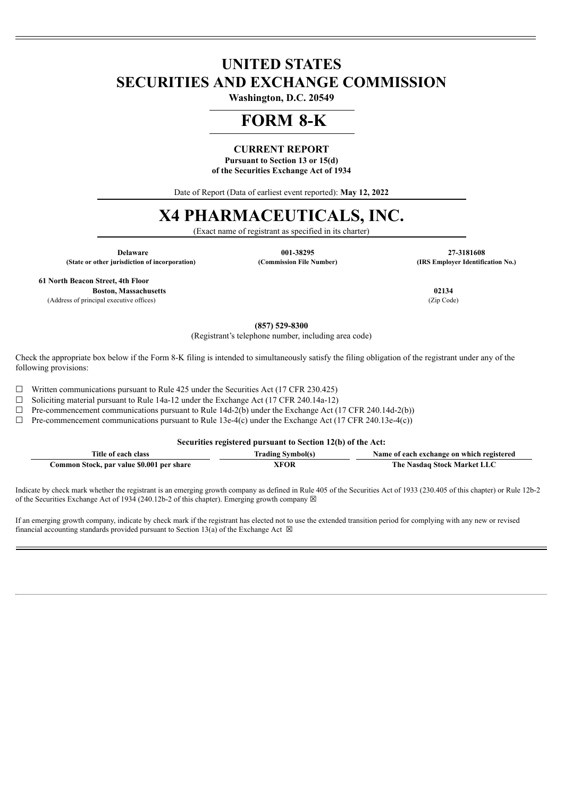# **UNITED STATES SECURITIES AND EXCHANGE COMMISSION**

**Washington, D.C. 20549**

## **FORM 8-K**

## **CURRENT REPORT**

**Pursuant to Section 13 or 15(d) of the Securities Exchange Act of 1934**

Date of Report (Data of earliest event reported): **May 12, 2022**

# **X4 PHARMACEUTICALS, INC.**

(Exact name of registrant as specified in its charter)

**(State or other jurisdiction of incorporation) (Commission File Number) (IRS Employer Identification No.)**

**Delaware 001-38295 27-3181608**

**61 North Beacon Street, 4th Floor**

**Boston, Massachusetts 02134** (Address of principal executive offices) (Zip Code)

**(857) 529-8300**

(Registrant's telephone number, including area code)

Check the appropriate box below if the Form 8-K filing is intended to simultaneously satisfy the filing obligation of the registrant under any of the following provisions:

☐ Written communications pursuant to Rule 425 under the Securities Act (17 CFR 230.425)

☐ Soliciting material pursuant to Rule 14a-12 under the Exchange Act (17 CFR 240.14a-12)

 $\Box$  Pre-commencement communications pursuant to Rule 14d-2(b) under the Exchange Act (17 CFR 240.14d-2(b))

 $\Box$  Pre-commencement communications pursuant to Rule 13e-4(c) under the Exchange Act (17 CFR 240.13e-4(c))

**Securities registered pursuant to Section 12(b) of the Act:**

| Title of each class                       | Trading Symbol(s) | Name of each exchange on which registered |
|-------------------------------------------|-------------------|-------------------------------------------|
| Common Stock, par value \$0.001 per share | XFOR              | The Nasdaq Stock Market LLC               |

Indicate by check mark whether the registrant is an emerging growth company as defined in Rule 405 of the Securities Act of 1933 (230.405 of this chapter) or Rule 12b-2 of the Securities Exchange Act of 1934 (240.12b-2 of this chapter). Emerging growth company  $\boxtimes$ 

If an emerging growth company, indicate by check mark if the registrant has elected not to use the extended transition period for complying with any new or revised financial accounting standards provided pursuant to Section 13(a) of the Exchange Act  $\boxtimes$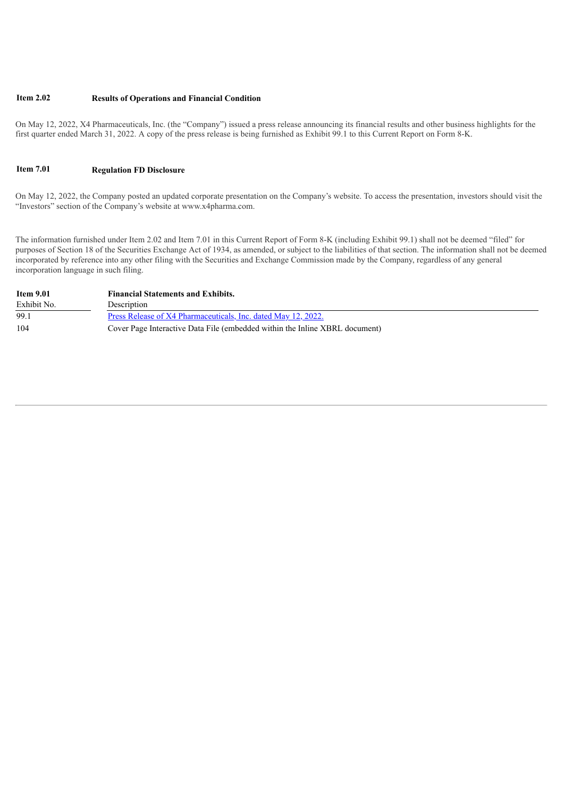#### **Item 2.02 Results of Operations and Financial Condition**

On May 12, 2022, X4 Pharmaceuticals, Inc. (the "Company") issued a press release announcing its financial results and other business highlights for the first quarter ended March 31, 2022. A copy of the press release is being furnished as Exhibit 99.1 to this Current Report on Form 8-K.

#### **Item 7.01 Regulation FD Disclosure**

On May 12, 2022, the Company posted an updated corporate presentation on the Company's website. To access the presentation, investors should visit the "Investors" section of the Company's website at www.x4pharma.com.

The information furnished under Item 2.02 and Item 7.01 in this Current Report of Form 8-K (including Exhibit 99.1) shall not be deemed "filed" for purposes of Section 18 of the Securities Exchange Act of 1934, as amended, or subject to the liabilities of that section. The information shall not be deemed incorporated by reference into any other filing with the Securities and Exchange Commission made by the Company, regardless of any general incorporation language in such filing.

| <b>Item 9.01</b> | <b>Financial Statements and Exhibits.</b>                                   |
|------------------|-----------------------------------------------------------------------------|
| Exhibit No.      | Description                                                                 |
| 99.1             | Press Release of X4 Pharmaceuticals, Inc. dated May 12, 2022.               |
| 104              | Cover Page Interactive Data File (embedded within the Inline XBRL document) |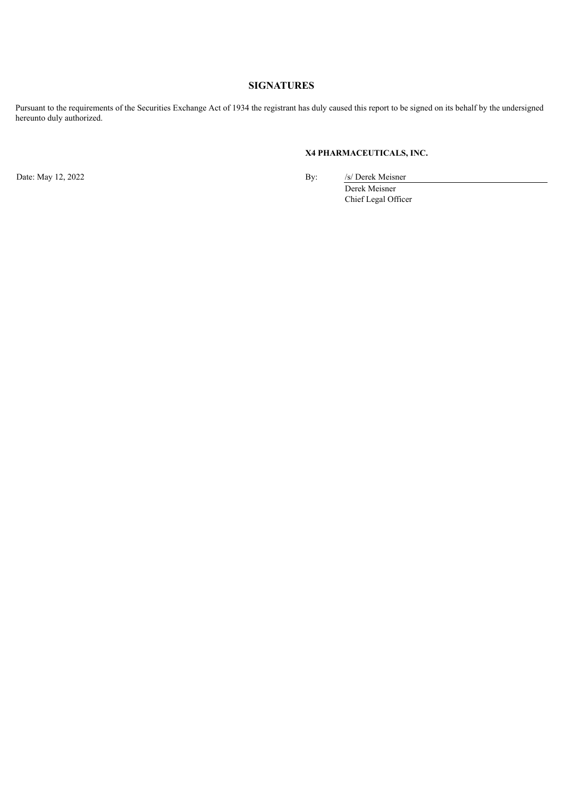## **SIGNATURES**

Pursuant to the requirements of the Securities Exchange Act of 1934 the registrant has duly caused this report to be signed on its behalf by the undersigned hereunto duly authorized.

### **X4 PHARMACEUTICALS, INC.**

Date: May 12, 2022 By: /s/ Derek Meisner Derek Meisner Chief Legal Officer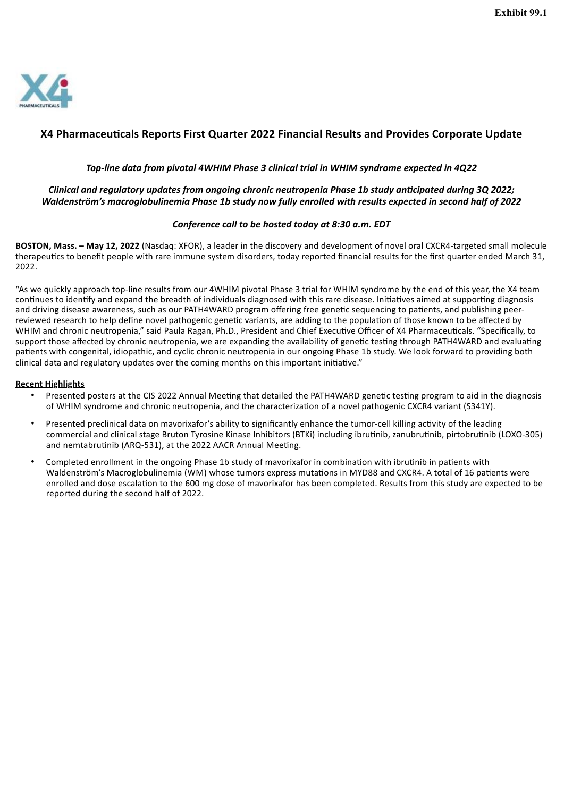<span id="page-3-0"></span>

## **X4 Pharmaceuticals Reports First Quarter 2022 Financial Results and Provides Corporate Update**

#### *Top-line data from pivotal 4WHIM Phase 3 clinical trial in WHIM syndrome expected in 4Q22*

#### *Clinical and regulatory updates from ongoing chronic neutropenia Phase 1b study anticipated during 3Q 2022; Waldenström's macroglobulinemia Phase 1b study now fully enrolled with results expected in second half of 2022*

#### *Conference call to be hosted today at 8:30 a.m. EDT*

**BOSTON, Mass. – May 12, 2022** (Nasdaq: XFOR), a leader in the discovery and development of novel oral CXCR4-targeted small molecule therapeutics to benefit people with rare immune system disorders, today reported financial results for the first quarter ended March 31,  $2022$ 

"As we quickly approach top-line results from our 4WHIM pivotal Phase 3 trial for WHIM syndrome by the end of this year, the X4 team continues to identify and expand the breadth of individuals diagnosed with this rare disease. Initiatives aimed at supporting diagnosis and driving disease awareness, such as our PATH4WARD program offering free genetic sequencing to patients, and publishing peerreviewed research to help define novel pathogenic genetic variants, are adding to the population of those known to be affected by WHIM and chronic neutropenia," said Paula Ragan, Ph.D., President and Chief Executive Officer of X4 Pharmaceuticals. "Specifically, to support those affected by chronic neutropenia, we are expanding the availability of genetic testing through PATH4WARD and evaluating patients with congenital, idiopathic, and cyclic chronic neutropenia in our ongoing Phase 1b study. We look forward to providing both clinical data and regulatory updates over the coming months on this important initiative."

#### **Recent Highlights**

- Presented posters at the CIS 2022 Annual Meeting that detailed the PATH4WARD genetic testing program to aid in the diagnosis of WHIM syndrome and chronic neutropenia, and the characterization of a novel pathogenic CXCR4 variant (S341Y).
- Presented preclinical data on mavorixafor's ability to significantly enhance the tumor-cell killing activity of the leading commercial and clinical stage Bruton Tyrosine Kinase Inhibitors (BTKi) including ibrutinib, zanubrutinib, pirtobrutinib (LOXO-305) and nemtabrutinib (ARQ-531), at the 2022 AACR Annual Meeting.
- Completed enrollment in the ongoing Phase 1b study of mavorixafor in combination with ibrutinib in patients with Waldenström's Macroglobulinemia (WM) whose tumors express mutations in MYD88 and CXCR4. A total of 16 patients were enrolled and dose escalation to the 600 mg dose of mavorixafor has been completed. Results from this study are expected to be reported during the second half of 2022.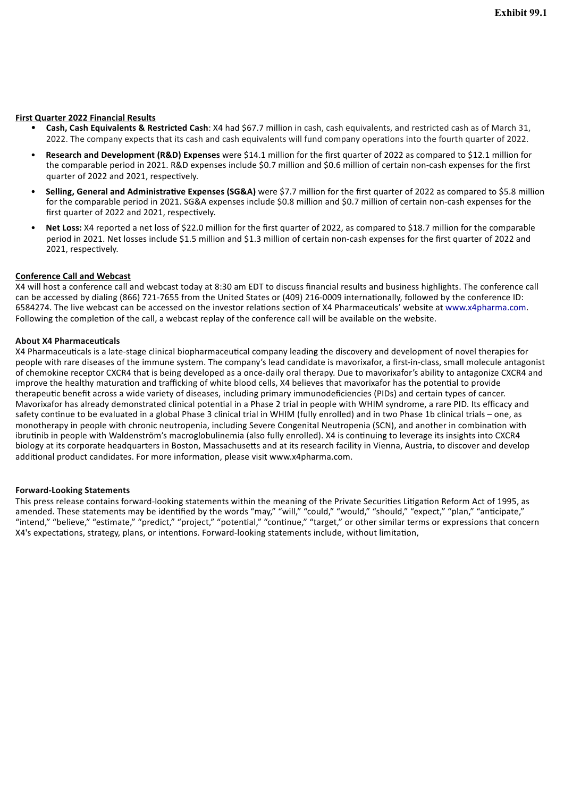#### **First Quarter 2022 Financial Results**

- **Cash, Cash Equivalents & Restricted Cash**: X4 had \$67.7 million in cash, cash equivalents, and restricted cash as of March 31, 2022. The company expects that its cash and cash equivalents will fund company operations into the fourth quarter of 2022.
- **Research and Development (R&D) Expenses** were \$14.1 million for the first quarter of 2022 as compared to \$12.1 million for the comparable period in 2021. R&D expenses include \$0.7 million and \$0.6 million of certain non-cash expenses for the first quarter of 2022 and 2021, respectively.
- **Selling, General and Administrative Expenses (SG&A)** were \$7.7 million for the first quarter of 2022 as compared to \$5.8 million for the comparable period in 2021. SG&A expenses include \$0.8 million and \$0.7 million of certain non-cash expenses for the first quarter of 2022 and 2021, respectively.
- **Net Loss:** X4 reported a net loss of \$22.0 million for the first quarter of 2022, as compared to \$18.7 million for the comparable period in 2021. Net losses include \$1.5 million and \$1.3 million of certain non-cash expenses for the first quarter of 2022 and 2021, respectively.

#### **Conference Call and Webcast**

X4 will host a conference call and webcast today at 8:30 am EDT to discuss financial results and business highlights. The conference call can be accessed by dialing (866) 721-7655 from the United States or (409) 216-0009 internationally, followed by the conference ID: 6584274. The live webcast can be accessed on the investor relations section of X4 Pharmaceuticals' website at www.x4pharma.com. Following the completion of the call, a webcast replay of the conference call will be available on the website.

#### **About X4 Pharmaceuticals**

X4 Pharmaceuticals is a late-stage clinical biopharmaceutical company leading the discovery and development of novel therapies for people with rare diseases of the immune system. The company's lead candidate is mavorixafor, a first-in-class, small molecule antagonist of chemokine receptor CXCR4 that is being developed as a once-daily oral therapy. Due to mavorixafor's ability to antagonize CXCR4 and improve the healthy maturation and trafficking of white blood cells, X4 believes that mavorixafor has the potential to provide therapeutic benefit across a wide variety of diseases, including primary immunodeficiencies (PIDs) and certain types of cancer. Mavorixafor has already demonstrated clinical potential in a Phase 2 trial in people with WHIM syndrome, a rare PID. Its efficacy and safety continue to be evaluated in a global Phase 3 clinical trial in WHIM (fully enrolled) and in two Phase 1b clinical trials – one, as monotherapy in people with chronic neutropenia, including Severe Congenital Neutropenia (SCN), and another in combination with ibrutinib in people with Waldenström's macroglobulinemia (also fully enrolled). X4 is continuing to leverage its insights into CXCR4 biology at its corporate headquarters in Boston, Massachusetts and at its research facility in Vienna, Austria, to discover and develop additional product candidates. For more information, please visit www.x4pharma.com.

#### **Forward-Looking Statements**

This press release contains forward-looking statements within the meaning of the Private Securities Litigation Reform Act of 1995, as amended. These statements may be identified by the words "may," "will," "could," "would," "should," "expect," "plan," "anticipate," "intend," "believe," "estimate," "predict," "project," "potential," "continue," "target," or other similar terms or expressions that concern X4's expectations, strategy, plans, or intentions. Forward-looking statements include, without limitation,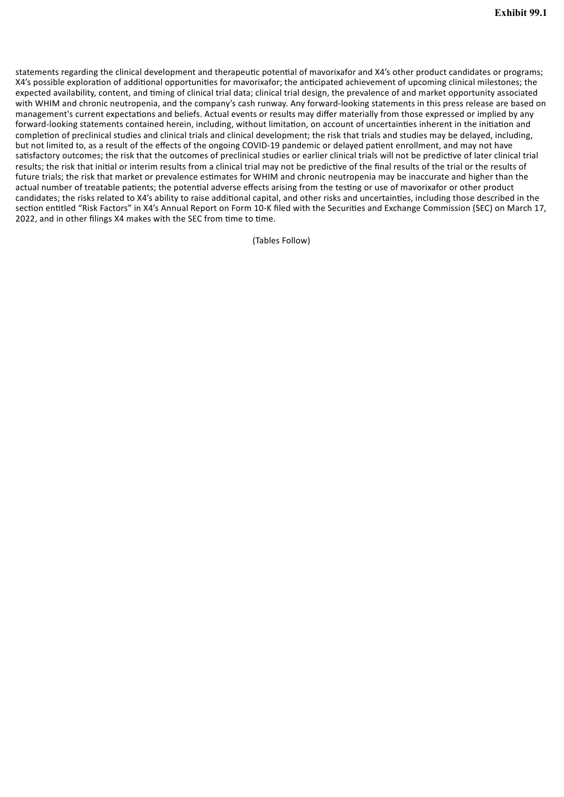statements regarding the clinical development and therapeutic potential of mavorixafor and X4's other product candidates or programs; X4's possible exploration of additional opportunities for mavorixafor; the anticipated achievement of upcoming clinical milestones; the expected availability, content, and timing of clinical trial data; clinical trial design, the prevalence of and market opportunity associated with WHIM and chronic neutropenia, and the company's cash runway. Any forward-looking statements in this press release are based on management's current expectations and beliefs. Actual events or results may differ materially from those expressed or implied by any forward-looking statements contained herein, including, without limitation, on account of uncertainties inherent in the initiation and completion of preclinical studies and clinical trials and clinical development; the risk that trials and studies may be delayed, including, but not limited to, as a result of the effects of the ongoing COVID-19 pandemic or delayed patient enrollment, and may not have satisfactory outcomes; the risk that the outcomes of preclinical studies or earlier clinical trials will not be predictive of later clinical trial results; the risk that initial or interim results from a clinical trial may not be predictive of the final results of the trial or the results of future trials; the risk that market or prevalence estimates for WHIM and chronic neutropenia may be inaccurate and higher than the actual number of treatable patients; the potential adverse effects arising from the testing or use of mavorixafor or other product candidates; the risks related to X4's ability to raise additional capital, and other risks and uncertainties, including those described in the section entitled "Risk Factors" in X4's Annual Report on Form 10-K filed with the Securities and Exchange Commission (SEC) on March 17, 2022, and in other filings X4 makes with the SEC from time to time.

(Tables Follow)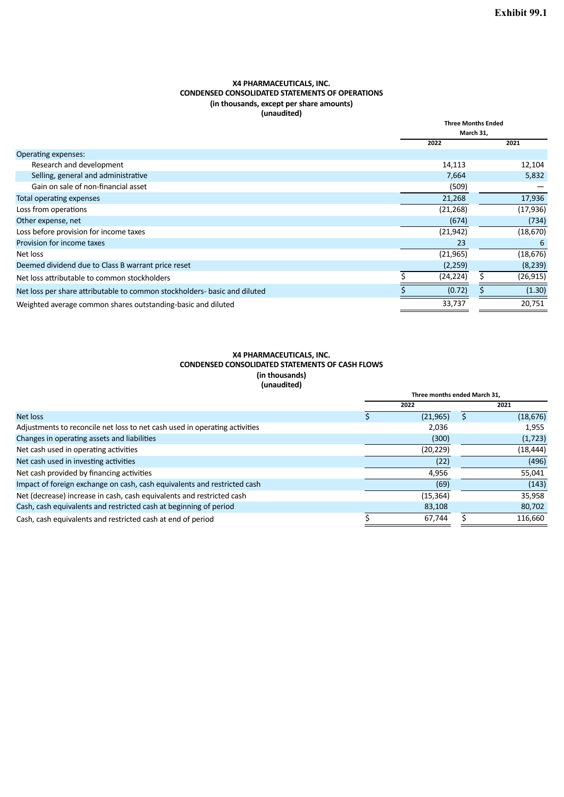#### **X4 PHARMACEUTICALS, INC. CONDENSED CONSOLIDATED STATEMENTS OF OPERATIONS (in thousands, except per share amounts) (unaudited)**

| 141164416647                                                              |           |                           |           |  |
|---------------------------------------------------------------------------|-----------|---------------------------|-----------|--|
|                                                                           |           | <b>Three Months Ended</b> |           |  |
|                                                                           |           | March 31,                 |           |  |
|                                                                           | 2022      |                           | 2021      |  |
| Operating expenses:                                                       |           |                           |           |  |
| Research and development                                                  | 14,113    |                           | 12,104    |  |
| Selling, general and administrative                                       | 7,664     |                           | 5,832     |  |
| Gain on sale of non-financial asset                                       |           | (509)                     |           |  |
| Total operating expenses                                                  | 21,268    |                           | 17,936    |  |
| Loss from operations                                                      | (21, 268) |                           | (17, 936) |  |
| Other expense, net                                                        |           | (674)                     | (734)     |  |
| Loss before provision for income taxes                                    | (21, 942) |                           | (18, 670) |  |
| Provision for income taxes                                                |           | 23                        | 6         |  |
| Net loss                                                                  | (21, 965) |                           | (18, 676) |  |
| Deemed dividend due to Class B warrant price reset                        | (2,259)   |                           | (8, 239)  |  |
| Net loss attributable to common stockholders                              | (24, 224) |                           | (26, 915) |  |
| Net loss per share attributable to common stockholders- basic and diluted |           | (0.72)                    | (1.30)    |  |
| Weighted average common shares outstanding-basic and diluted              | 33,737    |                           | 20,751    |  |

#### **X4 PHARMACEUTICALS, INC. CONDENSED CONSOLIDATED STATEMENTS OF CASH FLOWS (in thousands) (unaudited)**

|                                                                            | Three months ended March 31, |           |  |           |
|----------------------------------------------------------------------------|------------------------------|-----------|--|-----------|
|                                                                            | 2022                         |           |  | 2021      |
| Net loss                                                                   |                              | (21, 965) |  | (18, 676) |
| Adjustments to reconcile net loss to net cash used in operating activities |                              | 2,036     |  | 1,955     |
| Changes in operating assets and liabilities                                |                              | (300)     |  | (1, 723)  |
| Net cash used in operating activities                                      |                              | (20, 229) |  | (18, 444) |
| Net cash used in investing activities                                      |                              | (22)      |  | (496)     |
| Net cash provided by financing activities                                  |                              | 4,956     |  | 55,041    |
| Impact of foreign exchange on cash, cash equivalents and restricted cash   |                              | (69)      |  | (143)     |
| Net (decrease) increase in cash, cash equivalents and restricted cash      |                              | (15, 364) |  | 35,958    |
| Cash, cash equivalents and restricted cash at beginning of period          |                              | 83,108    |  | 80,702    |
| Cash, cash equivalents and restricted cash at end of period                |                              | 67,744    |  | 116,660   |